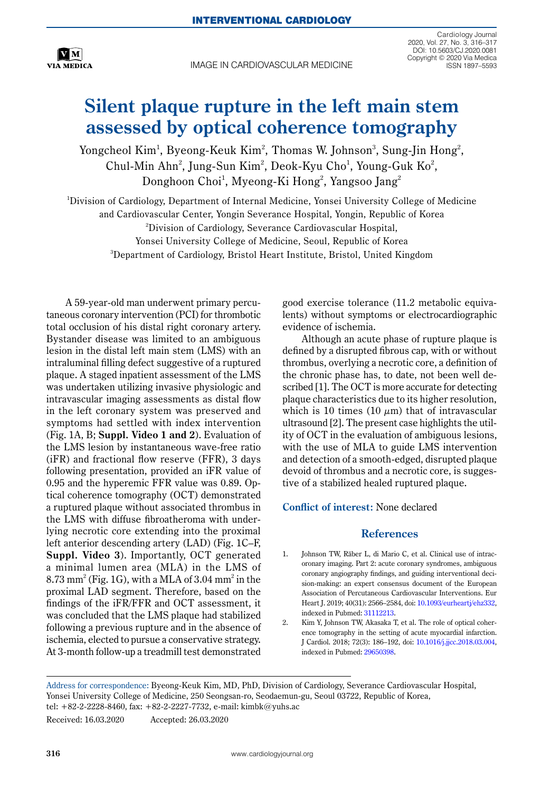

IMAGE IN CARDIOVASCULAR MEDICINE

Cardiology Journal 2020, Vol. 27, No. 3, 316–317 DOI: 10.5603/CJ.2020.0081 Copyright © 2020 Via Medica ISSN 1897–5593

## **Silent plaque rupture in the left main stem assessed by optical coherence tomography**

Yongcheol Kim<sup>1</sup>, Byeong-Keuk Kim<sup>2</sup>, Thomas W. Johnson<sup>3</sup>, Sung-Jin Hong<sup>2</sup>, Chul-Min Ahn<sup>2</sup>, Jung-Sun Kim<sup>2</sup>, Deok-Kyu Cho<sup>1</sup>, Young-Guk Ko<sup>2</sup>,  $\operatorname{Donghoon}$   $\operatorname{Choi}^1$ ,  $\operatorname{Myeong-Ki}$   $\operatorname{Hong}^2$ ,  $\operatorname{Yangsoo}$   $\operatorname{Jang}^2$ 

1 Division of Cardiology, Department of Internal Medicine, Yonsei University College of Medicine and Cardiovascular Center, Yongin Severance Hospital, Yongin, Republic of Korea 2 Division of Cardiology, Severance Cardiovascular Hospital, Yonsei University College of Medicine, Seoul, Republic of Korea 3 Department of Cardiology, Bristol Heart Institute, Bristol, United Kingdom

A 59-year-old man underwent primary percutaneous coronary intervention (PCI) for thrombotic total occlusion of his distal right coronary artery. Bystander disease was limited to an ambiguous lesion in the distal left main stem (LMS) with an intraluminal filling defect suggestive of a ruptured plaque. A staged inpatient assessment of the LMS was undertaken utilizing invasive physiologic and intravascular imaging assessments as distal flow in the left coronary system was preserved and symptoms had settled with index intervention (Fig. 1A, B; **Suppl. Video 1 and 2**). Evaluation of the LMS lesion by instantaneous wave-free ratio (iFR) and fractional flow reserve (FFR), 3 days following presentation, provided an iFR value of 0.95 and the hyperemic FFR value was 0.89. Optical coherence tomography (OCT) demonstrated a ruptured plaque without associated thrombus in the LMS with diffuse fibroatheroma with underlying necrotic core extending into the proximal left anterior descending artery (LAD) (Fig. 1C–F, **Suppl. Video 3**). Importantly, OCT generated a minimal lumen area (MLA) in the LMS of  $8.73$  mm<sup>2</sup> (Fig. 1G), with a MLA of 3.04 mm<sup>2</sup> in the proximal LAD segment. Therefore, based on the findings of the iFR/FFR and OCT assessment, it was concluded that the LMS plaque had stabilized following a previous rupture and in the absence of ischemia, elected to pursue a conservative strategy. At 3-month follow-up a treadmill test demonstrated

good exercise tolerance (11.2 metabolic equivalents) without symptoms or electrocardiographic evidence of ischemia.

Although an acute phase of rupture plaque is defined by a disrupted fibrous cap, with or without thrombus, overlying a necrotic core, a definition of the chronic phase has, to date, not been well described [1]. The OCT is more accurate for detecting plaque characteristics due to its higher resolution, which is 10 times  $(10 \mu m)$  that of intravascular ultrasound [2]. The present case highlights the utility of OCT in the evaluation of ambiguous lesions, with the use of MLA to guide LMS intervention and detection of a smooth-edged, disrupted plaque devoid of thrombus and a necrotic core, is suggestive of a stabilized healed ruptured plaque.

**Conflict of interest:** None declared

## **References**

- 1. Johnson TW, Räber L, di Mario C, et al. Clinical use of intracoronary imaging. Part 2: acute coronary syndromes, ambiguous coronary angiography findings, and guiding interventional decision-making: an expert consensus document of the European Association of Percutaneous Cardiovascular Interventions. Eur Heart J. 2019; 40(31): 2566–2584, doi: [10.1093/eurheartj/ehz332](http://dx.doi.org/10.1093/eurheartj/ehz332), indexed in Pubmed: [31112213.](https://www.ncbi.nlm.nih.gov/pubmed/31112213)
- 2. Kim Y, Johnson TW, Akasaka T, et al. The role of optical coherence tomography in the setting of acute myocardial infarction. J Cardiol. 2018; 72(3): 186–192, doi: [10.1016/j.jjcc.2018.03.004](http://dx.doi.org/10.1016/j.jjcc.2018.03.004), indexed in Pubmed: [29650398.](https://www.ncbi.nlm.nih.gov/pubmed/29650398)

Address for correspondence: Byeong-Keuk Kim, MD, PhD, Division of Cardiology, Severance Cardiovascular Hospital, Yonsei University College of Medicine, 250 Seongsan-ro, Seodaemun-gu, Seoul 03722, Republic of Korea, tel: +82-2-2228-8460, fax: +82-2-2227-7732, e-mail: kimbk@yuhs.ac

Received: 16.03.2020 Accepted: 26.03.2020